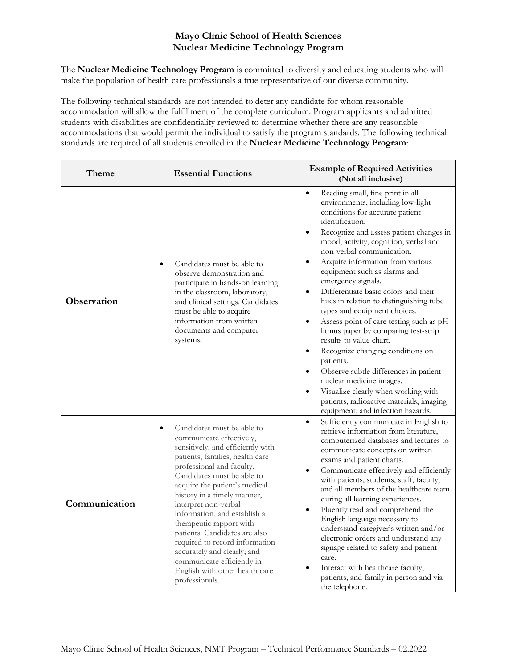## **Mayo Clinic School of Health Sciences Nuclear Medicine Technology Program**

The **Nuclear Medicine Technology Program** is committed to diversity and educating students who will make the population of health care professionals a true representative of our diverse community.

The following technical standards are not intended to deter any candidate for whom reasonable accommodation will allow the fulfillment of the complete curriculum. Program applicants and admitted students with disabilities are confidentiality reviewed to determine whether there are any reasonable accommodations that would permit the individual to satisfy the program standards. The following technical standards are required of all students enrolled in the **Nuclear Medicine Technology Program**:

| Theme         | <b>Essential Functions</b>                                                                                                                                                                                                                                                                                                                                                                                                                                                                                                                     | <b>Example of Required Activities</b><br>(Not all inclusive)                                                                                                                                                                                                                                                                                                                                                                                                                                                                                                                                                                                                                                                                                                                                                                                                                           |
|---------------|------------------------------------------------------------------------------------------------------------------------------------------------------------------------------------------------------------------------------------------------------------------------------------------------------------------------------------------------------------------------------------------------------------------------------------------------------------------------------------------------------------------------------------------------|----------------------------------------------------------------------------------------------------------------------------------------------------------------------------------------------------------------------------------------------------------------------------------------------------------------------------------------------------------------------------------------------------------------------------------------------------------------------------------------------------------------------------------------------------------------------------------------------------------------------------------------------------------------------------------------------------------------------------------------------------------------------------------------------------------------------------------------------------------------------------------------|
| Observation   | Candidates must be able to<br>observe demonstration and<br>participate in hands-on learning<br>in the classroom, laboratory,<br>and clinical settings. Candidates<br>must be able to acquire<br>information from written<br>documents and computer<br>systems.                                                                                                                                                                                                                                                                                 | Reading small, fine print in all<br>$\bullet$<br>environments, including low-light<br>conditions for accurate patient<br>identification.<br>Recognize and assess patient changes in<br>$\bullet$<br>mood, activity, cognition, verbal and<br>non-verbal communication.<br>Acquire information from various<br>equipment such as alarms and<br>emergency signals.<br>Differentiate basic colors and their<br>$\bullet$<br>hues in relation to distinguishing tube<br>types and equipment choices.<br>Assess point of care testing such as pH<br>litmus paper by comparing test-strip<br>results to value chart.<br>Recognize changing conditions on<br>$\bullet$<br>patients.<br>Observe subtle differences in patient<br>$\bullet$<br>nuclear medicine images.<br>Visualize clearly when working with<br>patients, radioactive materials, imaging<br>equipment, and infection hazards. |
| Communication | Candidates must be able to<br>$\bullet$<br>communicate effectively,<br>sensitively, and efficiently with<br>patients, families, health care<br>professional and faculty.<br>Candidates must be able to<br>acquire the patient's medical<br>history in a timely manner,<br>interpret non-verbal<br>information, and establish a<br>therapeutic rapport with<br>patients. Candidates are also<br>required to record information<br>accurately and clearly; and<br>communicate efficiently in<br>English with other health care<br>professionals. | Sufficiently communicate in English to<br>$\bullet$<br>retrieve information from literature,<br>computerized databases and lectures to<br>communicate concepts on written<br>exams and patient charts.<br>Communicate effectively and efficiently<br>$\bullet$<br>with patients, students, staff, faculty,<br>and all members of the healthcare team<br>during all learning experiences.<br>Fluently read and comprehend the<br>$\bullet$<br>English language necessary to<br>understand caregiver's written and/or<br>electronic orders and understand any<br>signage related to safety and patient<br>care.<br>Interact with healthcare faculty,<br>patients, and family in person and via<br>the telephone.                                                                                                                                                                         |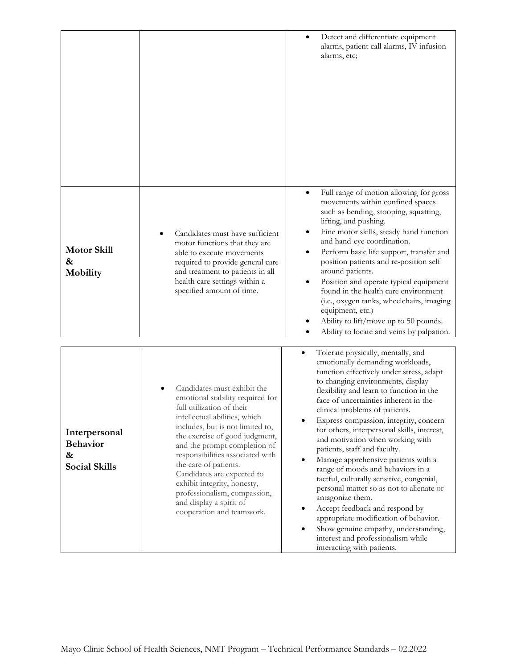|                                                               |                                                                                                                                                                                                                                                                                                                                                                                                                                                       | Detect and differentiate equipment<br>٠<br>alarms, patient call alarms, IV infusion<br>alarms, etc;                                                                                                                                                                                                                                                                                                                                                                                                                                                                                                                                                                                                                                                                                                                         |
|---------------------------------------------------------------|-------------------------------------------------------------------------------------------------------------------------------------------------------------------------------------------------------------------------------------------------------------------------------------------------------------------------------------------------------------------------------------------------------------------------------------------------------|-----------------------------------------------------------------------------------------------------------------------------------------------------------------------------------------------------------------------------------------------------------------------------------------------------------------------------------------------------------------------------------------------------------------------------------------------------------------------------------------------------------------------------------------------------------------------------------------------------------------------------------------------------------------------------------------------------------------------------------------------------------------------------------------------------------------------------|
| <b>Motor Skill</b><br>&<br>Mobility                           | Candidates must have sufficient<br>motor functions that they are<br>able to execute movements<br>required to provide general care<br>and treatment to patients in all<br>health care settings within a<br>specified amount of time.                                                                                                                                                                                                                   | Full range of motion allowing for gross<br>$\bullet$<br>movements within confined spaces<br>such as bending, stooping, squatting,<br>lifting, and pushing.<br>Fine motor skills, steady hand function<br>٠<br>and hand-eye coordination.<br>Perform basic life support, transfer and<br>٠<br>position patients and re-position self<br>around patients.<br>Position and operate typical equipment<br>found in the health care environment<br>(i.e., oxygen tanks, wheelchairs, imaging<br>equipment, etc.)<br>Ability to lift/move up to 50 pounds.<br>Ability to locate and veins by palpation.                                                                                                                                                                                                                            |
| Interpersonal<br><b>Behavior</b><br>&<br><b>Social Skills</b> | Candidates must exhibit the<br>emotional stability required for<br>full utilization of their<br>intellectual abilities, which<br>includes, but is not limited to,<br>the exercise of good judgment,<br>and the prompt completion of<br>responsibilities associated with<br>the care of patients.<br>Candidates are expected to<br>exhibit integrity, honesty,<br>professionalism, compassion,<br>and display a spirit of<br>cooperation and teamwork. | Tolerate physically, mentally, and<br>emotionally demanding workloads,<br>function effectively under stress, adapt<br>to changing environments, display<br>flexibility and learn to function in the<br>face of uncertainties inherent in the<br>clinical problems of patients.<br>Express compassion, integrity, concern<br>for others, interpersonal skills, interest,<br>and motivation when working with<br>patients, staff and faculty.<br>Manage apprehensive patients with a<br>range of moods and behaviors in a<br>tactful, culturally sensitive, congenial,<br>personal matter so as not to alienate or<br>antagonize them.<br>Accept feedback and respond by<br>appropriate modification of behavior.<br>Show genuine empathy, understanding,<br>interest and professionalism while<br>interacting with patients. |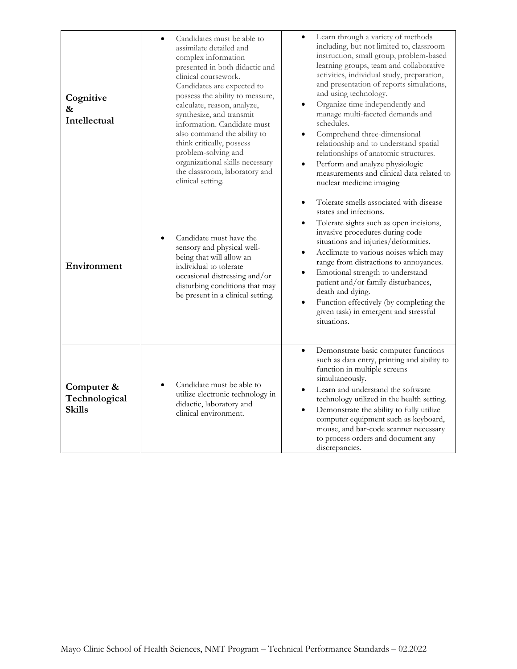| Cognitive<br>&<br>Intellectual               | Candidates must be able to<br>$\bullet$<br>assimilate detailed and<br>complex information<br>presented in both didactic and<br>clinical coursework.<br>Candidates are expected to<br>possess the ability to measure,<br>calculate, reason, analyze,<br>synthesize, and transmit<br>information. Candidate must<br>also command the ability to<br>think critically, possess<br>problem-solving and<br>organizational skills necessary<br>the classroom, laboratory and<br>clinical setting. | Learn through a variety of methods<br>including, but not limited to, classroom<br>instruction, small group, problem-based<br>learning groups, team and collaborative<br>activities, individual study, preparation,<br>and presentation of reports simulations,<br>and using technology.<br>Organize time independently and<br>manage multi-faceted demands and<br>schedules.<br>Comprehend three-dimensional<br>relationship and to understand spatial<br>relationships of anatomic structures.<br>Perform and analyze physiologic<br>measurements and clinical data related to<br>nuclear medicine imaging |
|----------------------------------------------|--------------------------------------------------------------------------------------------------------------------------------------------------------------------------------------------------------------------------------------------------------------------------------------------------------------------------------------------------------------------------------------------------------------------------------------------------------------------------------------------|-------------------------------------------------------------------------------------------------------------------------------------------------------------------------------------------------------------------------------------------------------------------------------------------------------------------------------------------------------------------------------------------------------------------------------------------------------------------------------------------------------------------------------------------------------------------------------------------------------------|
| Environment                                  | Candidate must have the<br>sensory and physical well-<br>being that will allow an<br>individual to tolerate<br>occasional distressing and/or<br>disturbing conditions that may<br>be present in a clinical setting.                                                                                                                                                                                                                                                                        | Tolerate smells associated with disease<br>$\bullet$<br>states and infections.<br>Tolerate sights such as open incisions,<br>invasive procedures during code<br>situations and injuries/deformities.<br>Acclimate to various noises which may<br>range from distractions to annoyances.<br>Emotional strength to understand<br>patient and/or family disturbances,<br>death and dying.<br>Function effectively (by completing the<br>given task) in emergent and stressful<br>situations.                                                                                                                   |
| Computer &<br>Technological<br><b>Skills</b> | Candidate must be able to<br>utilize electronic technology in<br>didactic, laboratory and<br>clinical environment.                                                                                                                                                                                                                                                                                                                                                                         | Demonstrate basic computer functions<br>$\bullet$<br>such as data entry, printing and ability to<br>function in multiple screens<br>simultaneously.<br>Learn and understand the software<br>technology utilized in the health setting.<br>Demonstrate the ability to fully utilize<br>٠<br>computer equipment such as keyboard,<br>mouse, and bar-code scanner necessary<br>to process orders and document any<br>discrepancies.                                                                                                                                                                            |